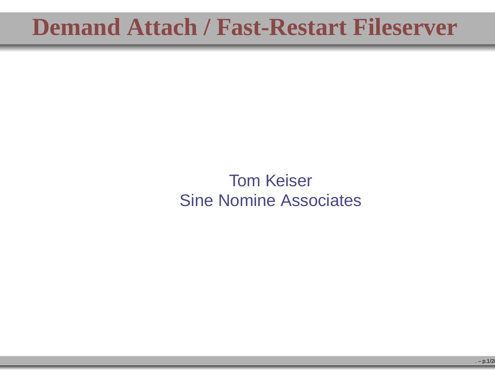## **Demand Attach / Fast-Restart Fileserver**

Tom KeiserSine Nomine Associates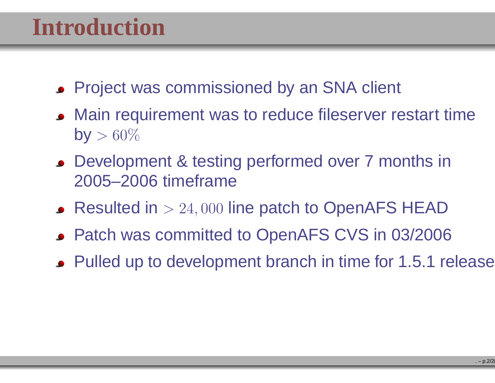# **Introduction**

- **Project was commissioned by an SNA client**
- Main requirement was to reduce fileserver restart timeby  $> 60\%$
- Development & testing performed over <sup>7</sup> months in2005–2006 timeframe
- Resulted in  $>24,000$  line patch to OpenAFS HEAD
- Patch was committed to OpenAFS CVS in 03/2006
- Pulled up to development branch in time for 1.5.1 release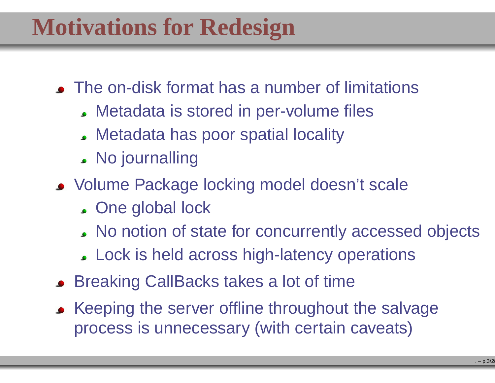# **Motivations for Redesign**

- The on-disk format has a number of limitations
	- Metadata is stored in per-volume files
	- Metadata has poor spatial locality
	- No journalling
- Volume Package locking model doesn't scale
	- . One global lock
	- No notion of state for concurrently accessed objects
	- Lock is held across high-latency operations
- **Breaking CallBacks takes a lot of time**
- Keeping the server offline throughout the salvage process is unnecessary (with certain caveats)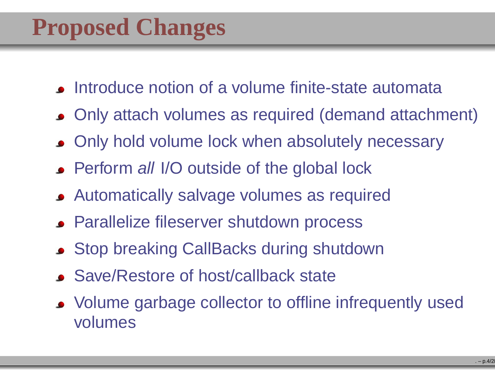- **Introduce notion of a volume finite-state automata**
- Only attach volumes as required (demand attachment)
- Only hold volume lock when absolutely necessary
- Perform all I/O outside of the global lock
- Automatically salvage volumes as required
- Parallelize fileserver shutdown process
- Stop breaking CallBacks during shutdown
- Save/Restore of host/callback state
- Volume garbage collector to offline infrequently usedvolumes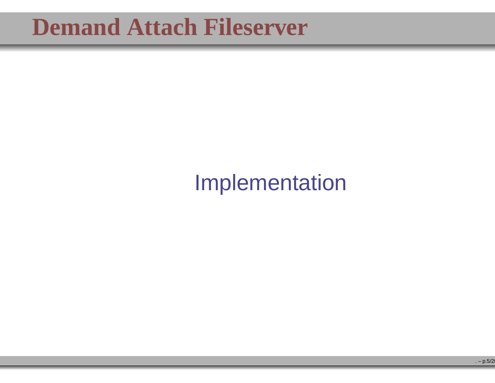# Implementation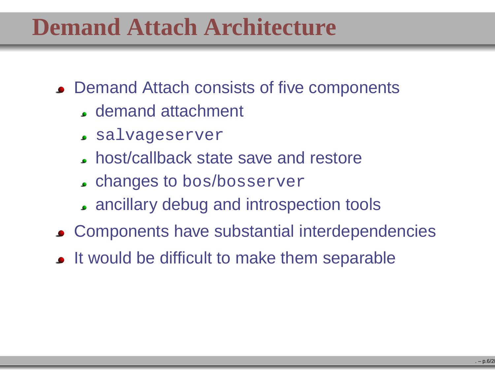# **Demand Attach Architecture**

- Demand Attach consists of five components
	- demand attachment
	- salvageserver
	- host/callback state save and restore
	- changes to bos/bosserver
	- ancillary debug and introspection tools
- Components have substantial interdependencies
- It would be difficult to make them separable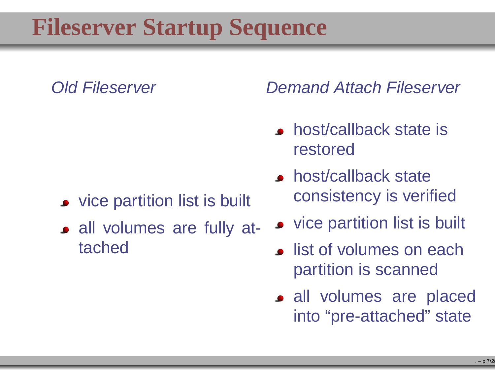# **Fileserver Startup Sequence**

#### Old Fileserver

- vice partition list is built
- all volumes are fully attached

Demand Attach Fileserver

- host/callback state isrestored
- host/callback stateconsistency is verified
- vice partition list is built
- **.** list of volumes on each partition is scanned
- all volumes are placedinto "pre-attached" state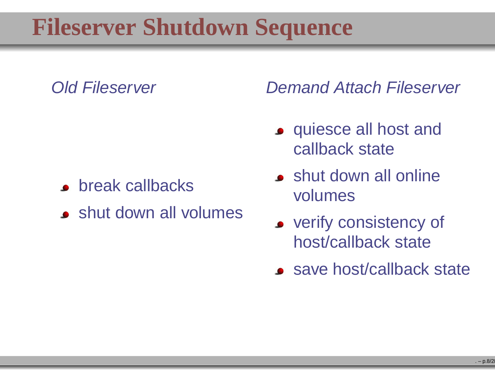# **Fileserver Shutdown Sequence**

#### Old Fileserver

- **•** break callbacks
- shut down all volumes

Demand Attach Fileserver

- **o** quiesce all host and callback state
- **shut down all online** volumes
- **•** verify consistency of host/callback state
- save host/callback state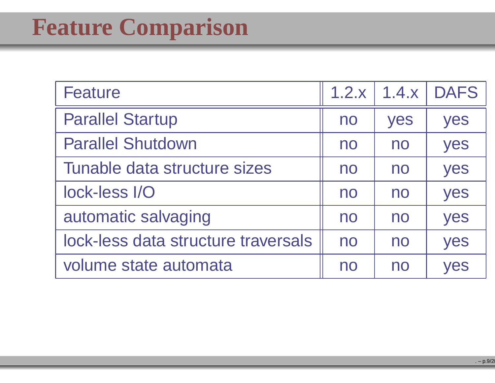# **Feature Comparison**

| <b>Feature</b>                      | 1.2.x | 1.4.x | <b>DAFS</b> |
|-------------------------------------|-------|-------|-------------|
| <b>Parallel Startup</b>             | no    | yes   | yes         |
| <b>Parallel Shutdown</b>            | no    | no    | yes         |
| Tunable data structure sizes        | no    | no    | yes         |
| lock-less I/O                       | no    | no    | yes         |
| automatic salvaging                 | no    | no    | yes         |
| lock-less data structure traversals | no    | no    | yes         |
| volume state automata               | no    | no    | yes         |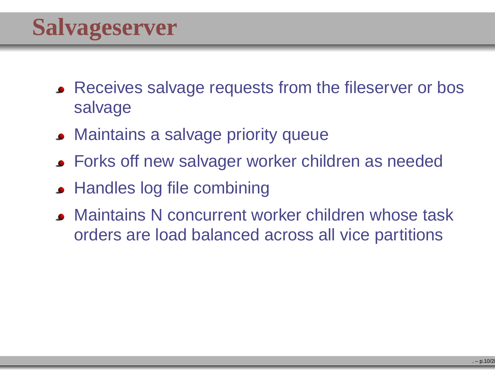- Receives salvage requests from the fileserver or bossalvage
- Maintains <sup>a</sup> salvage priority queue
- **Forks off new salvager worker children as needed**
- Handles log file combining
- Maintains N concurrent worker children whose taskorders are load balanced across all vice partitions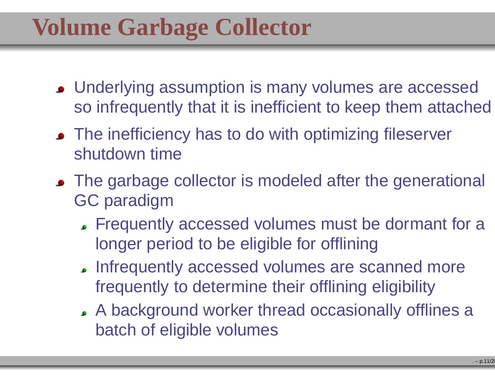# **Volume Garbage Collector**

- Underlying assumption is many volumes are accessedso infrequently that it is inefficient to keep them attached
- The inefficiency has to do with optimizing fileserver shutdown time
- The garbage collector is modeled after the generational GC paradigm
	- Frequently accessed volumes must be dormant for <sup>a</sup>longer period to be eligible for offlining
	- Infrequently accessed volumes are scanned morefrequently to determine their offlining eligibility
	- A background worker thread occasionally offlines <sup>a</sup>batch of eligible volumes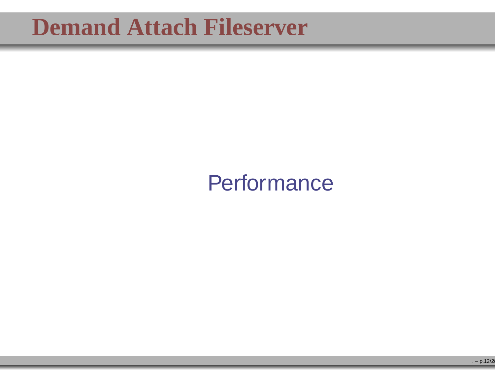## **Performance**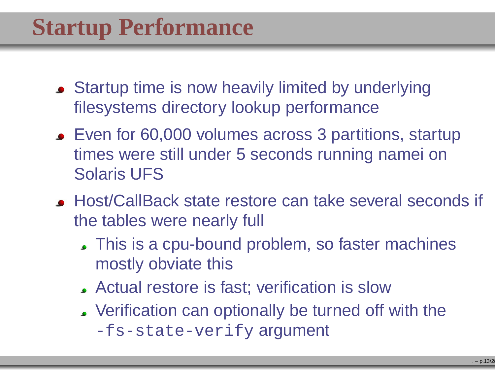- **Startup time is now heavily limited by underlying** filesystems directory lookup performance
- Even for 60,000 volumes across 3 partitions, startuptimes were still under 5 seconds running namei onSolaris UFS
- Host/CallBack state restore can take several seconds if the tables were nearly full
	- This is <sup>a</sup> cpu-bound problem, so faster machinesmostly obviate this
	- Actual restore is fast; verification is slow
	- Verification can optionally be turned off with the-fs-state-verify <mark>argument</mark>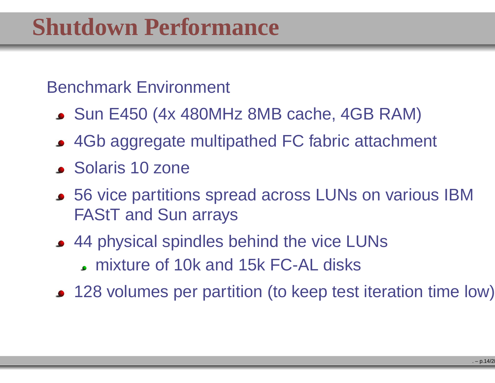#### Benchmark Environment

- Sun E450 (4x 480MHz 8MB cache, 4GB RAM)
- 4Gb aggregate multipathed FC fabric attachment
- Solaris 10 zone
- 56 vice partitions spread across LUNs on various IBM FAStT and Sun arrays
- 44 physical spindles behind the vice LUNs mixture of 10k and 15k FC-AL disks
- 128 volumes per partition (to keep test iteration time low)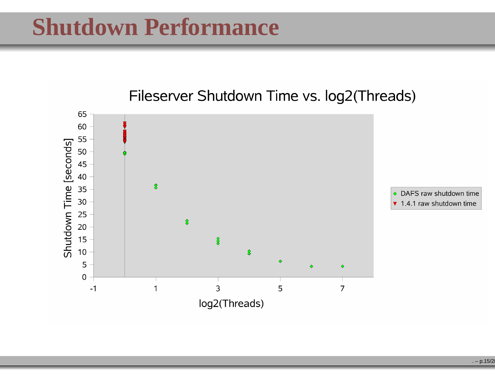

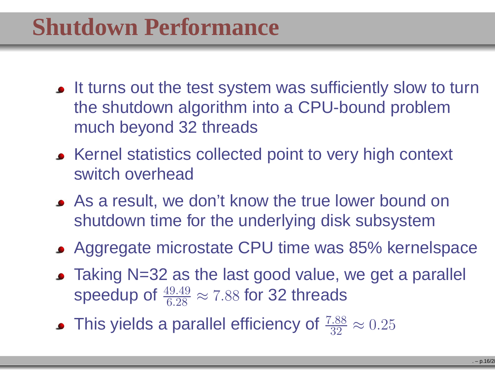- It turns out the test system was sufficiently slow to turnthe shutdown algorithm into <sup>a</sup> CPU-bound problemmuch beyond 32 threads
- **Example 25 and Street Statistics collected point to very high context** switch overhead
- As <sup>a</sup> result, we don't know the true lower bound onshutdown time for the underlying disk subsystem
- Aggregate microstate CPU time was 85% kernelspace
- Taking N=32 as the last good value, we get a parallel speedup of  $\frac{49.49}{6.28}$  $\approx$  7.88 for 32 threads
- This yields a parallel efficiency of  $\frac{7.88}{32}$  32 $\approx 0.25$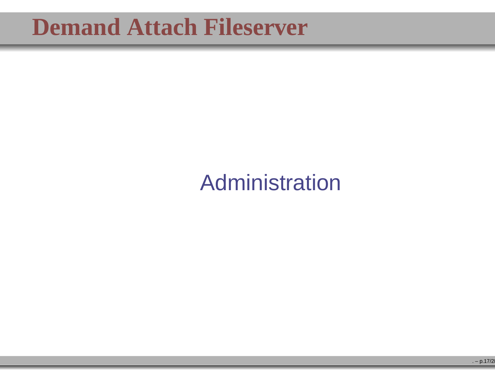# Administration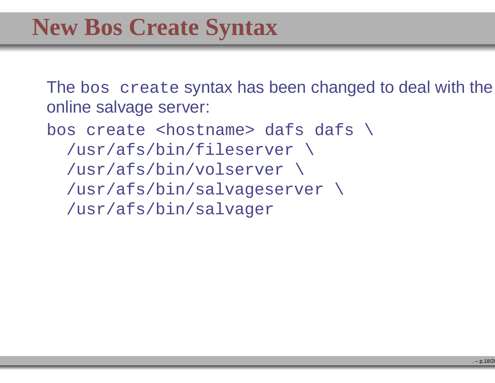The bos create syntax has been changed to deal with the online salvage server:

bos create <hostname> dafs dafs \ /usr/afs/bin/fileserver \ /usr/afs/bin/volserver \ /usr/afs/bin/salvageserver \ /usr/afs/bin/salvager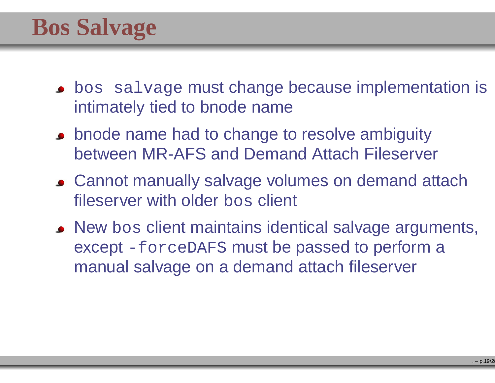- **•** bos salvage must change because implementation is intimately tied to bnode name
- **bnode name had to change to resolve ambiguity** between MR-AFS and Demand Attach Fileserver
- Cannot manually salvage volumes on demand attachfileserver with older bos client
- New bos client maintains identical salvage arguments,<br>execute 5 except -forceDAFS must be passed to perform <sup>a</sup> manual salvage on <sup>a</sup> demand attach fileserver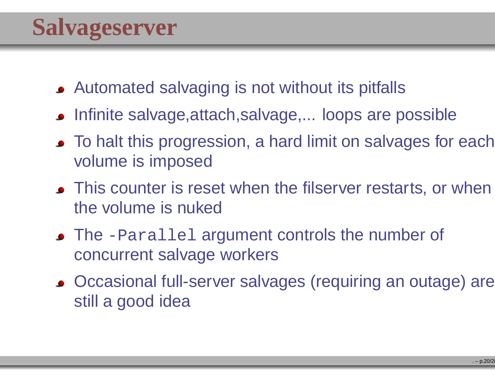- Automated salvaging is not without its pitfalls
- Infinite salvage,attach,salvage,... loops are possible
- To halt this progression, a hard limit on salvages for each volume is imposed
- This counter is reset when the filserver restarts, or when the volume is nuked
- The -Parallel argument controls the number of concurrent salvage workers
- Occasional full-server salvages (requiring an outage) arestill <sup>a</sup> good idea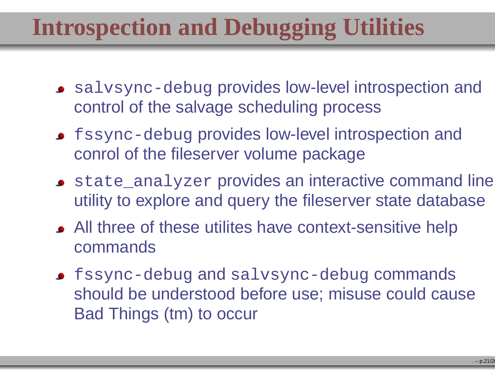# **Introspection and Debugging Utilities**

- salvsync-debug provides low-level introspection and control of the salvage scheduling process
- fssync-debug provides low-level introspection and conrol of the fileserver volume package
- state\_analyzer provides an interactive command line utility to explore and query the fileserver state database
- All three of these utilites have context-sensitive helpcommands
- fssync-debug and salvsync-debug commands should be understood before use; misuse could causeBad Things (tm) to occur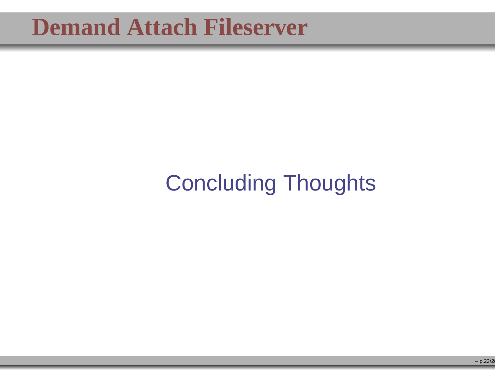# Concluding Thoughts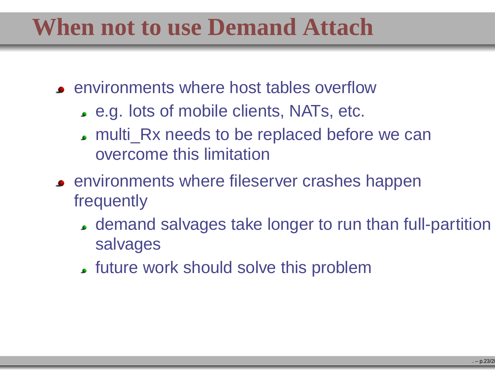# **When not to use Demand Attach**

- environments where host tables overflow
	- e.g. lots of mobile clients, NATs, etc.
	- multi\_Rx needs to be replaced before we canovercome this limitation
- **EXECUTE: Environments where fileserver crashes happen** frequently
	- demand salvages take longer to run than full-partitionsalvages
	- future work should solve this problem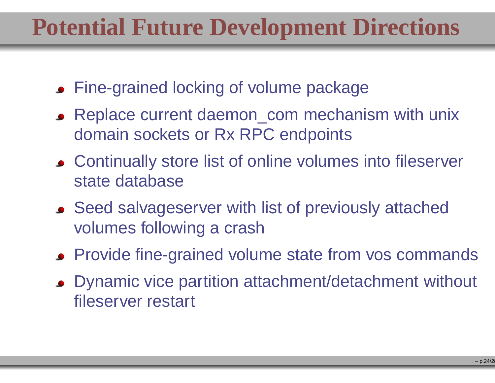# **Potential Future Development Directions**

- Fine-grained locking of volume package
- Replace current daemon\_com mechanism with unixdomain sockets or Rx RPC endpoints
- Continually store list of online volumes into fileserverstate database
- Seed salvageserver with list of previously attachedvolumes following <sup>a</sup> crash
- Provide fine-grained volume state from vos commands
- Dynamic vice partition attachment/detachment without fileserver restart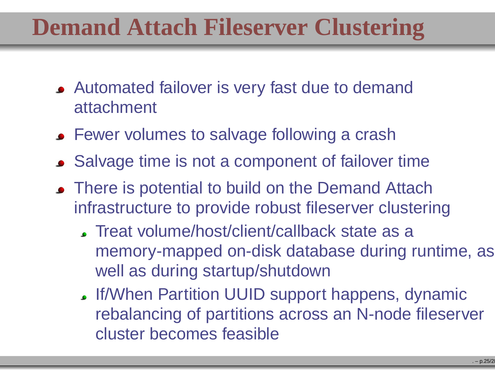# **Demand Attach Fileserver Clustering**

- Automated failover is very fast due to demandattachment
- **Fewer volumes to salvage following a crash**
- Salvage time is not <sup>a</sup> component of failover time
- There is potential to build on the Demand Attach infrastructure to provide robust fileserver clustering
	- Treat volume/host/client/callback state as <sup>a</sup> memory-mapped on-disk database during runtime, aswell as during startup/shutdown
	- If/When Partition UUID support happens, dynamic rebalancing of partitions across an N-node fileservercluster becomes feasible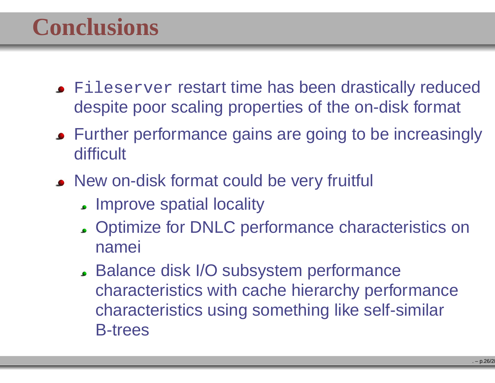# **Conclusions**

- Fileserver restart time has been drastically reduced despite poor scaling properties of the on-disk format
- Further performance gains are going to be increasinglydifficult
- New on-disk format could be very fruitful
	- **Improve spatial locality**
	- Optimize for DNLC performance characteristics onnamei
	- Balance disk I/O subsystem performance characteristics with cache hierarchy performancecharacteristics using something like self-similarB-trees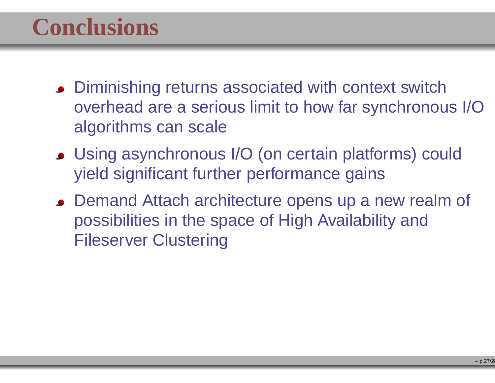# **Conclusions**

- **Diminishing returns associated with context switch**  overhead are <sup>a</sup> serious limit to how far synchronous I/Oalgorithms can scale
- Using asynchronous I/O (on certain platforms) couldyield significant further performance gains
- **Demand Attach architecture opens up a new realm of** possibilities in the space of High Availability andFileserver Clustering